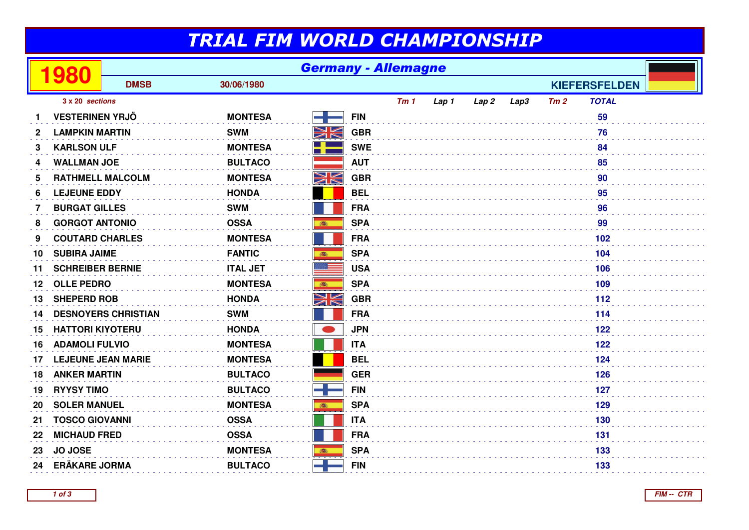## TRIAL FIM WORLD CHAMPIONSHIP

|    | 980                        | <b>Germany - Allemagne</b> |                 |                 |            |     |       |                  |      |     |                      |  |
|----|----------------------------|----------------------------|-----------------|-----------------|------------|-----|-------|------------------|------|-----|----------------------|--|
|    |                            | <b>DMSB</b>                | 30/06/1980      |                 |            |     |       |                  |      |     | <b>KIEFERSFELDEN</b> |  |
|    | 3 x 20 sections            |                            |                 |                 |            | Tm1 | Lap 1 | Lap <sub>2</sub> | Lap3 | Tm2 | <b>TOTAL</b>         |  |
|    | <b>VESTERINEN YRJÖ</b>     |                            | <b>MONTESA</b>  |                 | <b>FIN</b> |     |       |                  |      |     | 59                   |  |
| 2  | <b>LAMPKIN MARTIN</b>      |                            | <b>SWM</b>      | NK              | <b>GBR</b> |     |       |                  |      |     | 76                   |  |
| 3  | <b>KARLSON ULF</b>         |                            | <b>MONTESA</b>  |                 | <b>SWE</b> |     |       |                  |      |     | 84                   |  |
| 4  | <b>WALLMAN JOE</b>         |                            | <b>BULTACO</b>  |                 | <b>AUT</b> |     |       |                  |      |     | 85                   |  |
| 5  | <b>RATHMELL MALCOLM</b>    |                            | <b>MONTESA</b>  | NK<br>ZK        | <b>GBR</b> |     |       |                  |      |     | 90                   |  |
| 6  | <b>LEJEUNE EDDY</b>        |                            | <b>HONDA</b>    |                 | <b>BEL</b> |     |       |                  |      |     | 95                   |  |
| 7  | <b>BURGAT GILLES</b>       |                            | <b>SWM</b>      |                 | <b>FRA</b> |     |       |                  |      |     | 96                   |  |
| 8  | <b>GORGOT ANTONIO</b>      |                            | <b>OSSA</b>     | 高               | <b>SPA</b> |     |       |                  |      |     | 99                   |  |
| 9  | <b>COUTARD CHARLES</b>     |                            | <b>MONTESA</b>  |                 | <b>FRA</b> |     |       |                  |      |     | 102                  |  |
| 10 | <b>SUBIRA JAIME</b>        |                            | <b>FANTIC</b>   | ●               | <b>SPA</b> |     |       |                  |      |     | 104                  |  |
| 11 | <b>SCHREIBER BERNIE</b>    |                            | <b>ITAL JET</b> |                 | <b>USA</b> |     |       |                  |      |     | 106                  |  |
| 12 | <b>OLLE PEDRO</b>          |                            | <b>MONTESA</b>  | 森               | <b>SPA</b> |     |       |                  |      |     | 109                  |  |
| 13 | <b>SHEPERD ROB</b>         |                            | <b>HONDA</b>    | NK              | <b>GBR</b> |     |       |                  |      |     | 112                  |  |
| 14 | <b>DESNOYERS CHRISTIAN</b> |                            | <b>SWM</b>      |                 | <b>FRA</b> |     |       |                  |      |     | 114                  |  |
| 15 | <b>HATTORI KIYOTERU</b>    |                            | <b>HONDA</b>    |                 | <b>JPN</b> |     |       |                  |      |     | 122                  |  |
| 16 | <b>ADAMOLI FULVIO</b>      |                            | <b>MONTESA</b>  |                 | <b>ITA</b> |     |       |                  |      |     | 122                  |  |
| 17 | <b>LEJEUNE JEAN MARIE</b>  |                            | <b>MONTESA</b>  |                 | <b>BEL</b> |     |       |                  |      |     | 124                  |  |
| 18 | <b>ANKER MARTIN</b>        |                            | <b>BULTACO</b>  |                 | <b>GER</b> |     |       |                  |      |     | 126                  |  |
| 19 | <b>RYYSY TIMO</b>          |                            | <b>BULTACO</b>  | $\blacklozenge$ | <b>FIN</b> |     |       |                  |      |     | 127                  |  |
| 20 | <b>SOLER MANUEL</b>        |                            | <b>MONTESA</b>  |                 | <b>SPA</b> |     |       |                  |      |     | 129                  |  |
| 21 | <b>TOSCO GIOVANNI</b>      |                            | <b>OSSA</b>     |                 | <b>ITA</b> |     |       |                  |      |     | 130                  |  |
| 22 | <b>MICHAUD FRED</b>        |                            | <b>OSSA</b>     |                 | <b>FRA</b> |     |       |                  |      |     | 131                  |  |
| 23 | <b>JO JOSE</b>             |                            | <b>MONTESA</b>  | 高               | <b>SPA</b> |     |       |                  |      |     | 133                  |  |
| 24 | <b>ERÄKARE JORMA</b>       |                            | <b>BULTACO</b>  |                 | <b>FIN</b> |     |       |                  |      |     | 133                  |  |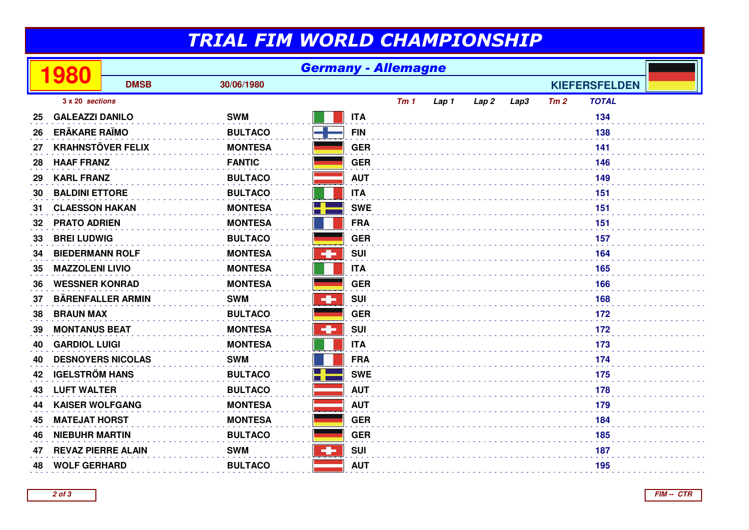## TRIAL FIM WORLD CHAMPIONSHIP

|    | 980                       | <b>Germany - Allemagne</b> |                |                                         |     |       |      |      |     |                      |  |
|----|---------------------------|----------------------------|----------------|-----------------------------------------|-----|-------|------|------|-----|----------------------|--|
|    |                           | <b>DMSB</b>                | 30/06/1980     |                                         |     |       |      |      |     | <b>KIEFERSFELDEN</b> |  |
|    | 3 x 20 sections           |                            |                |                                         | Tm1 | Lap 1 | Lap2 | Lap3 | Tm2 | <b>TOTAL</b>         |  |
| 25 | <b>GALEAZZI DANILO</b>    |                            | <b>SWM</b>     | <b>ITA</b>                              |     |       |      |      |     | 134                  |  |
| 26 | <b>ERÄKARE RAÏMO</b>      |                            | <b>BULTACO</b> | <b>FIN</b>                              |     |       |      |      |     | 138                  |  |
| 27 | <b>KRAHNSTÖVER FELIX</b>  |                            | <b>MONTESA</b> | <b>GER</b>                              |     |       |      |      |     | 141                  |  |
| 28 | <b>HAAF FRANZ</b>         |                            | <b>FANTIC</b>  | <b>GER</b>                              |     |       |      |      |     | 146                  |  |
| 29 | <b>KARL FRANZ</b>         |                            | <b>BULTACO</b> | <b>AUT</b>                              |     |       |      |      |     | 149                  |  |
| 30 | <b>BALDINI ETTORE</b>     |                            | <b>BULTACO</b> | <b>ITA</b>                              |     |       |      |      |     | 151                  |  |
| 31 | <b>CLAESSON HAKAN</b>     |                            | <b>MONTESA</b> | <b>SWE</b>                              |     |       |      |      |     | 151                  |  |
| 32 | <b>PRATO ADRIEN</b>       |                            | <b>MONTESA</b> | <b>FRA</b>                              |     |       |      |      |     | 151                  |  |
| 33 | <b>BREI LUDWIG</b>        |                            | <b>BULTACO</b> | <b>GER</b>                              |     |       |      |      |     | 157                  |  |
| 34 | <b>BIEDERMANN ROLF</b>    |                            | <b>MONTESA</b> | ÷<br><b>SUI</b>                         |     |       |      |      |     | 164                  |  |
| 35 | <b>MAZZOLENI LIVIO</b>    |                            | <b>MONTESA</b> | <b>ITA</b>                              |     |       |      |      |     | 165                  |  |
| 36 | <b>WESSNER KONRAD</b>     |                            | <b>MONTESA</b> | <b>GER</b>                              |     |       |      |      |     | 166                  |  |
| 37 | <b>BÄRENFALLER ARMIN</b>  |                            | <b>SWM</b>     | ÷<br><b>SUI</b>                         |     |       |      |      |     | 168                  |  |
| 38 | <b>BRAUN MAX</b>          |                            | <b>BULTACO</b> | <b>GER</b>                              |     |       |      |      |     | 172                  |  |
| 39 | <b>MONTANUS BEAT</b>      |                            | <b>MONTESA</b> | $\mathbf{d}_{\mathbf{r}}$<br><b>SUI</b> |     |       |      |      |     | 172                  |  |
| 40 | <b>GARDIOL LUIGI</b>      |                            | <b>MONTESA</b> | <b>ITA</b>                              |     |       |      |      |     | 173                  |  |
| 40 | <b>DESNOYERS NICOLAS</b>  |                            | <b>SWM</b>     | <b>FRA</b>                              |     |       |      |      |     | 174                  |  |
| 42 | <b>IGELSTRÖM HANS</b>     |                            | <b>BULTACO</b> | <b>SWE</b>                              |     |       |      |      |     | 175                  |  |
| 43 | <b>LUFT WALTER</b>        |                            | <b>BULTACO</b> | <b>AUT</b>                              |     |       |      |      |     | 178                  |  |
| 44 | <b>KAISER WOLFGANG</b>    |                            | <b>MONTESA</b> | <b>AUT</b>                              |     |       |      |      |     | 179                  |  |
| 45 | <b>MATEJAT HORST</b>      |                            | <b>MONTESA</b> | <b>GER</b>                              |     |       |      |      |     | 184                  |  |
| 46 | <b>NIEBUHR MARTIN</b>     |                            | <b>BULTACO</b> | <b>GER</b>                              |     |       |      |      |     | 185                  |  |
| 47 | <b>REVAZ PIERRE ALAIN</b> |                            | <b>SWM</b>     | ÷<br><b>SUI</b>                         |     |       |      |      |     | 187                  |  |
| 48 | <b>WOLF GERHARD</b>       |                            | <b>BULTACO</b> | <b>AUT</b>                              |     |       |      |      |     | 195                  |  |